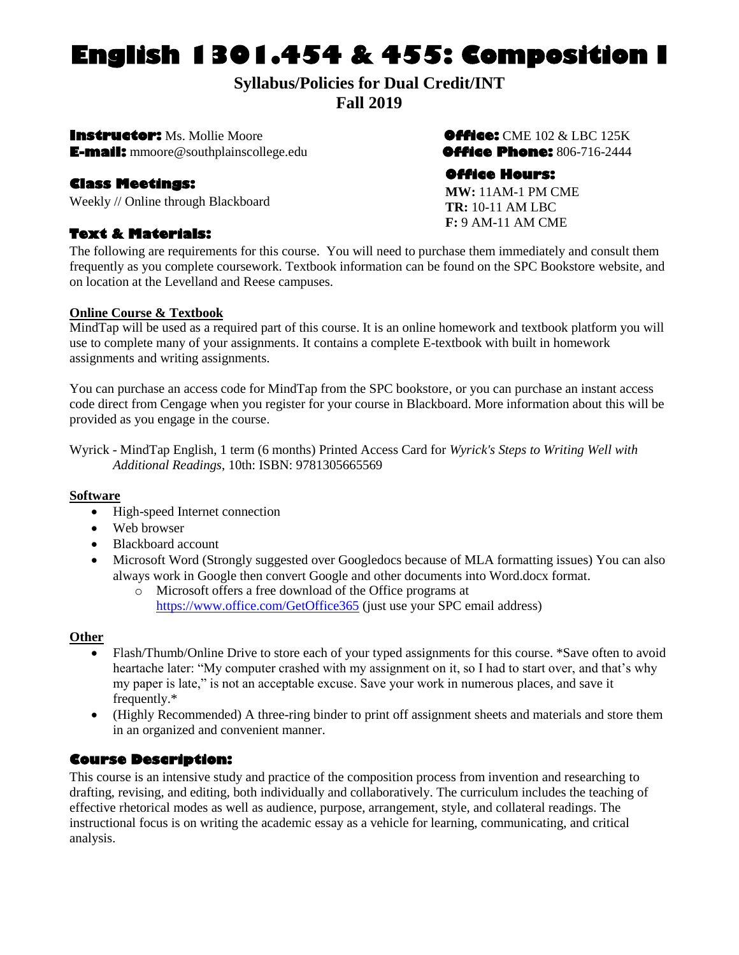# **English 1301.454 & 455: Composition I**

## **Syllabus/Policies for Dual Credit/INT Fall 2019**

**Instructor:** Ms. Mollie Moore**Office:** CME 102 & LBC 125K **E-mail:** mmoore@southplainscollege.edu**Office Phone:** 806-716-2444

#### **Class Meetings:**

Weekly // Online through Blackboard

## **Text & Materials:**

#### **Office Hours:**

**MW:** 11AM-1 PM CME **TR:** 10-11 AM LBC **F:** 9 AM-11 AM CME

The following are requirements for this course. You will need to purchase them immediately and consult them frequently as you complete coursework. Textbook information can be found on the SPC Bookstore website, and on location at the Levelland and Reese campuses.

#### **Online Course & Textbook**

MindTap will be used as a required part of this course. It is an online homework and textbook platform you will use to complete many of your assignments. It contains a complete E-textbook with built in homework assignments and writing assignments.

You can purchase an access code for MindTap from the SPC bookstore, or you can purchase an instant access code direct from Cengage when you register for your course in Blackboard. More information about this will be provided as you engage in the course.

Wyrick - MindTap English, 1 term (6 months) Printed Access Card for *Wyrick's Steps to Writing Well with Additional Readings*, 10th: ISBN: 9781305665569

#### **Software**

- High-speed Internet connection
- Web browser
- Blackboard account
- Microsoft Word (Strongly suggested over Googledocs because of MLA formatting issues) You can also always work in Google then convert Google and other documents into Word.docx format.
	- o Microsoft offers a free download of the Office programs at <https://www.office.com/GetOffice365> (just use your SPC email address)

#### **Other**

- Flash/Thumb/Online Drive to store each of your typed assignments for this course. \*Save often to avoid heartache later: "My computer crashed with my assignment on it, so I had to start over, and that's why my paper is late," is not an acceptable excuse. Save your work in numerous places, and save it frequently.\*
- (Highly Recommended) A three-ring binder to print off assignment sheets and materials and store them in an organized and convenient manner.

#### **Course Description:**

This course is an intensive study and practice of the composition process from invention and researching to drafting, revising, and editing, both individually and collaboratively. The curriculum includes the teaching of effective rhetorical modes as well as audience, purpose, arrangement, style, and collateral readings. The instructional focus is on writing the academic essay as a vehicle for learning, communicating, and critical analysis.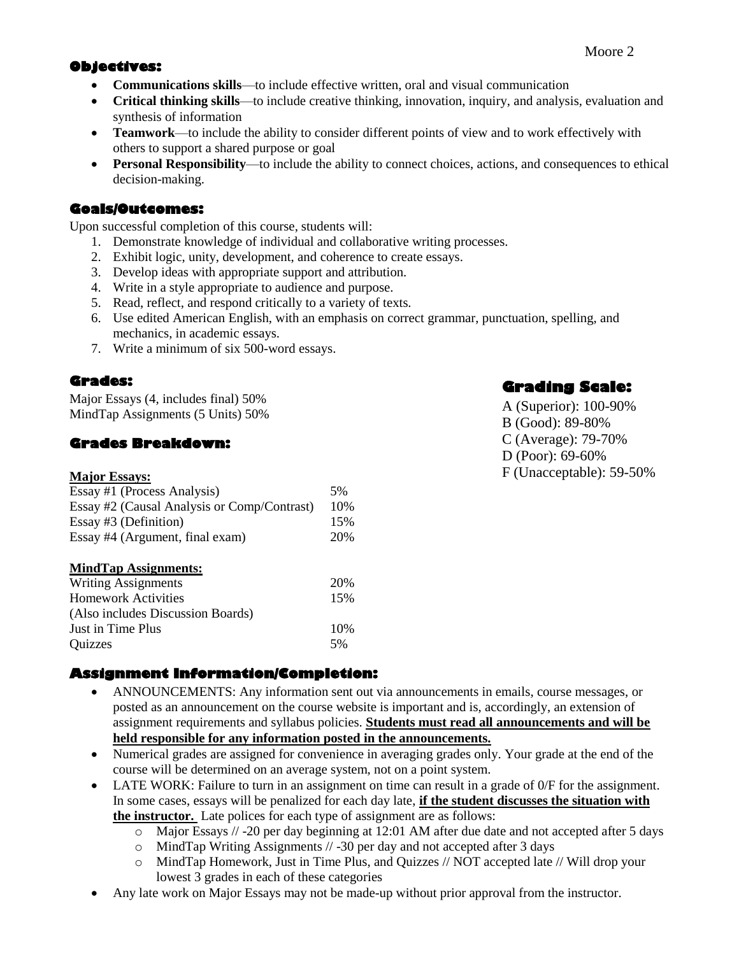## **Objectives:**

- **Communications skills**—to include effective written, oral and visual communication
- **Critical thinking skills**—to include creative thinking, innovation, inquiry, and analysis, evaluation and synthesis of information
- **Teamwork**—to include the ability to consider different points of view and to work effectively with others to support a shared purpose or goal
- **Personal Responsibility**—to include the ability to connect choices, actions, and consequences to ethical decision-making.

## **Goals/Outcomes:**

Upon successful completion of this course, students will:

- 1. Demonstrate knowledge of individual and collaborative writing processes.
- 2. Exhibit logic, unity, development, and coherence to create essays.
- 3. Develop ideas with appropriate support and attribution.
- 4. Write in a style appropriate to audience and purpose.
- 5. Read, reflect, and respond critically to a variety of texts.
- 6. Use edited American English, with an emphasis on correct grammar, punctuation, spelling, and mechanics, in academic essays.
- 7. Write a minimum of six 500-word essays.

## **Grades:**

Major Essays (4, includes final) 50% MindTap Assignments (5 Units) 50%

## **Grades Breakdown:**

| <b>Major Essays:</b>                        |     |
|---------------------------------------------|-----|
| Essay #1 (Process Analysis)                 | 5%  |
| Essay #2 (Causal Analysis or Comp/Contrast) | 10% |
| Essay #3 (Definition)                       | 15% |
| Essay #4 (Argument, final exam)             | 20% |
| <b>MindTap Assignments:</b>                 |     |
| <b>Writing Assignments</b>                  | 20% |
| <b>Homework Activities</b>                  | 15% |
| (Also includes Discussion Boards)           |     |
| Just in Time Plus                           | 10% |
| Ouizzes                                     | 5%  |

## **Assignment Information/Completion:**

- ANNOUNCEMENTS: Any information sent out via announcements in emails, course messages, or posted as an announcement on the course website is important and is, accordingly, an extension of assignment requirements and syllabus policies. **Students must read all announcements and will be held responsible for any information posted in the announcements.**
- Numerical grades are assigned for convenience in averaging grades only. Your grade at the end of the course will be determined on an average system, not on a point system.
- LATE WORK: Failure to turn in an assignment on time can result in a grade of 0/F for the assignment. In some cases, essays will be penalized for each day late, **if the student discusses the situation with the instructor.** Late polices for each type of assignment are as follows:
	- o Major Essays // -20 per day beginning at 12:01 AM after due date and not accepted after 5 days
	- o MindTap Writing Assignments // -30 per day and not accepted after 3 days
	- o MindTap Homework, Just in Time Plus, and Quizzes // NOT accepted late // Will drop your lowest 3 grades in each of these categories
- Any late work on Major Essays may not be made-up without prior approval from the instructor.

## **Grading Scale:**

A (Superior): 100-90% B (Good): 89-80% C (Average): 79-70% D (Poor): 69-60% F (Unacceptable): 59-50%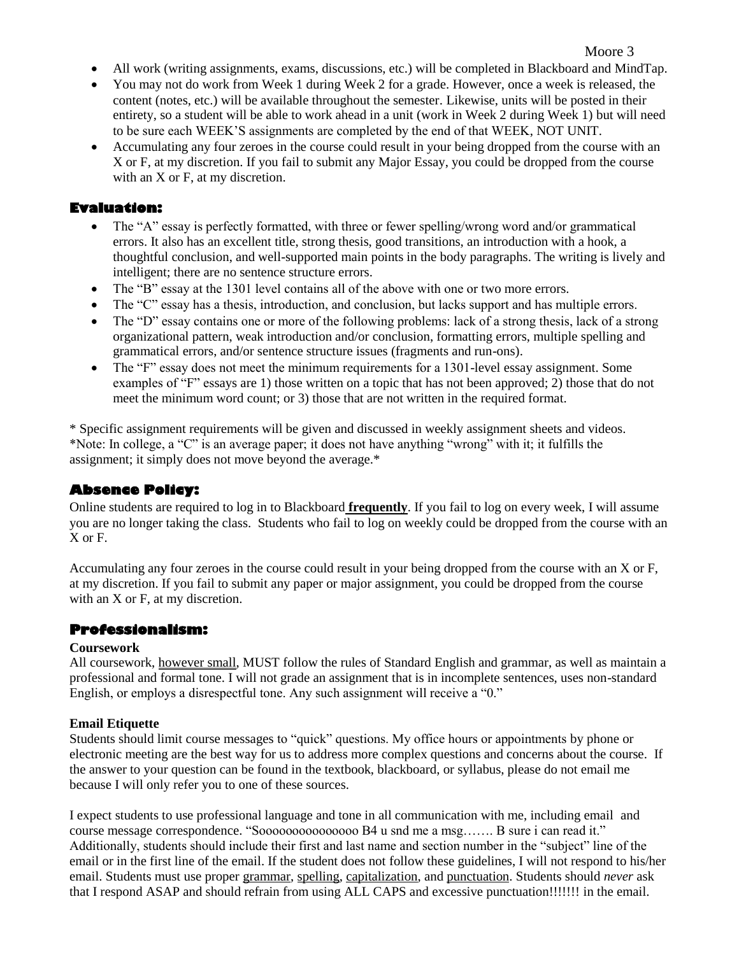#### Moore 3

- All work (writing assignments, exams, discussions, etc.) will be completed in Blackboard and MindTap.
- You may not do work from Week 1 during Week 2 for a grade. However, once a week is released, the content (notes, etc.) will be available throughout the semester. Likewise, units will be posted in their entirety, so a student will be able to work ahead in a unit (work in Week 2 during Week 1) but will need to be sure each WEEK'S assignments are completed by the end of that WEEK, NOT UNIT.
- Accumulating any four zeroes in the course could result in your being dropped from the course with an X or F, at my discretion. If you fail to submit any Major Essay, you could be dropped from the course with an X or F, at my discretion.

#### **Evaluation:**

- The "A" essay is perfectly formatted, with three or fewer spelling/wrong word and/or grammatical errors. It also has an excellent title, strong thesis, good transitions, an introduction with a hook, a thoughtful conclusion, and well-supported main points in the body paragraphs. The writing is lively and intelligent; there are no sentence structure errors.
- The "B" essay at the 1301 level contains all of the above with one or two more errors.
- The "C" essay has a thesis, introduction, and conclusion, but lacks support and has multiple errors.
- The "D" essay contains one or more of the following problems: lack of a strong thesis, lack of a strong organizational pattern, weak introduction and/or conclusion, formatting errors, multiple spelling and grammatical errors, and/or sentence structure issues (fragments and run-ons).
- The "F" essay does not meet the minimum requirements for a 1301-level essay assignment. Some examples of "F" essays are 1) those written on a topic that has not been approved; 2) those that do not meet the minimum word count; or 3) those that are not written in the required format.

\* Specific assignment requirements will be given and discussed in weekly assignment sheets and videos. \*Note: In college, a "C" is an average paper; it does not have anything "wrong" with it; it fulfills the assignment; it simply does not move beyond the average.\*

## **Absence Policy:**

Online students are required to log in to Blackboard **frequently**. If you fail to log on every week, I will assume you are no longer taking the class. Students who fail to log on weekly could be dropped from the course with an X or F.

Accumulating any four zeroes in the course could result in your being dropped from the course with an X or F, at my discretion. If you fail to submit any paper or major assignment, you could be dropped from the course with an X or F, at my discretion.

#### **Professionalism:**

#### **Coursework**

All coursework, however small, MUST follow the rules of Standard English and grammar, as well as maintain a professional and formal tone. I will not grade an assignment that is in incomplete sentences, uses non-standard English, or employs a disrespectful tone. Any such assignment will receive a "0."

#### **Email Etiquette**

Students should limit course messages to "quick" questions. My office hours or appointments by phone or electronic meeting are the best way for us to address more complex questions and concerns about the course. If the answer to your question can be found in the textbook, blackboard, or syllabus, please do not email me because I will only refer you to one of these sources.

I expect students to use professional language and tone in all communication with me, including email and course message correspondence. "Sooooooooooooooo B4 u snd me a msg……. B sure i can read it." Additionally, students should include their first and last name and section number in the "subject" line of the email or in the first line of the email. If the student does not follow these guidelines, I will not respond to his/her email. Students must use proper grammar, spelling, capitalization, and punctuation. Students should *never* ask that I respond ASAP and should refrain from using ALL CAPS and excessive punctuation!!!!!!! in the email.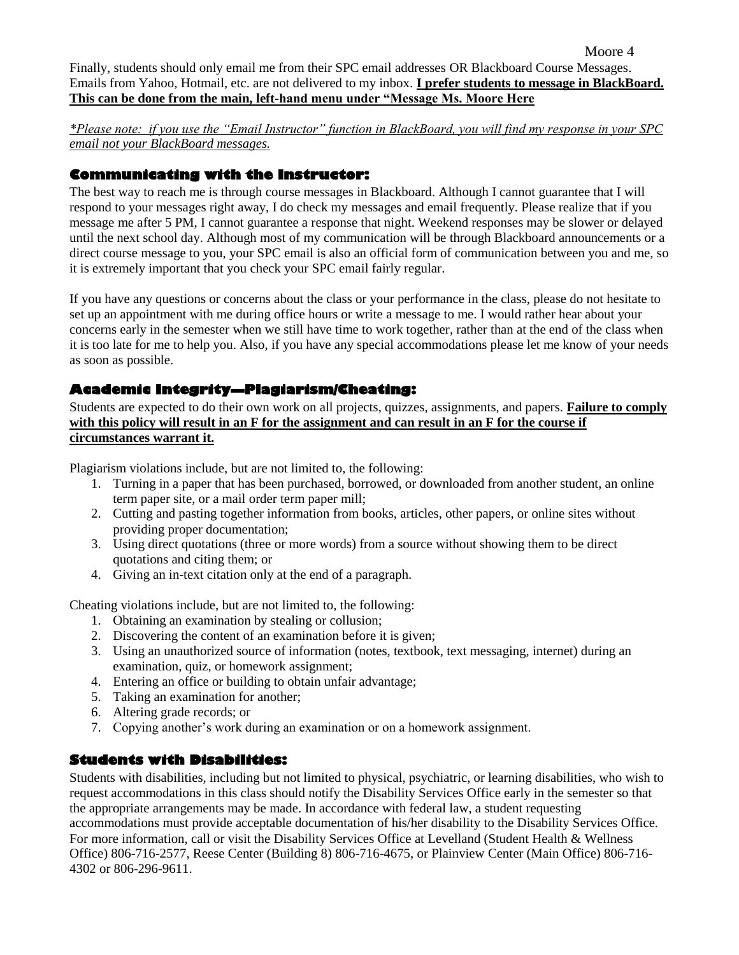Moore 4

Finally, students should only email me from their SPC email addresses OR Blackboard Course Messages. Emails from Yahoo, Hotmail, etc. are not delivered to my inbox. **I prefer students to message in BlackBoard. This can be done from the main, left-hand menu under "Message Ms. Moore Here**

*\*Please note: if you use the "Email Instructor" function in BlackBoard, you will find my response in your SPC email not your BlackBoard messages.*

#### **Communicating with the Instructor:**

The best way to reach me is through course messages in Blackboard. Although I cannot guarantee that I will respond to your messages right away, I do check my messages and email frequently. Please realize that if you message me after 5 PM, I cannot guarantee a response that night. Weekend responses may be slower or delayed until the next school day. Although most of my communication will be through Blackboard announcements or a direct course message to you, your SPC email is also an official form of communication between you and me, so it is extremely important that you check your SPC email fairly regular.

If you have any questions or concerns about the class or your performance in the class, please do not hesitate to set up an appointment with me during office hours or write a message to me. I would rather hear about your concerns early in the semester when we still have time to work together, rather than at the end of the class when it is too late for me to help you. Also, if you have any special accommodations please let me know of your needs as soon as possible.

#### **Academic Integrity—Plagiarism/Cheating:**

Students are expected to do their own work on all projects, quizzes, assignments, and papers. **Failure to comply with this policy will result in an F for the assignment and can result in an F for the course if circumstances warrant it.**

Plagiarism violations include, but are not limited to, the following:

- 1. Turning in a paper that has been purchased, borrowed, or downloaded from another student, an online term paper site, or a mail order term paper mill;
- 2. Cutting and pasting together information from books, articles, other papers, or online sites without providing proper documentation;
- 3. Using direct quotations (three or more words) from a source without showing them to be direct quotations and citing them; or
- 4. Giving an in-text citation only at the end of a paragraph.

Cheating violations include, but are not limited to, the following:

- 1. Obtaining an examination by stealing or collusion;
- 2. Discovering the content of an examination before it is given;
- 3. Using an unauthorized source of information (notes, textbook, text messaging, internet) during an examination, quiz, or homework assignment;
- 4. Entering an office or building to obtain unfair advantage;
- 5. Taking an examination for another;
- 6. Altering grade records; or
- 7. Copying another's work during an examination or on a homework assignment.

#### **Students with Disabilities:**

Students with disabilities, including but not limited to physical, psychiatric, or learning disabilities, who wish to request accommodations in this class should notify the Disability Services Office early in the semester so that the appropriate arrangements may be made. In accordance with federal law, a student requesting accommodations must provide acceptable documentation of his/her disability to the Disability Services Office. For more information, call or visit the Disability Services Office at Levelland (Student Health & Wellness Office) 806-716-2577, Reese Center (Building 8) 806-716-4675, or Plainview Center (Main Office) 806-716- 4302 or 806-296-9611.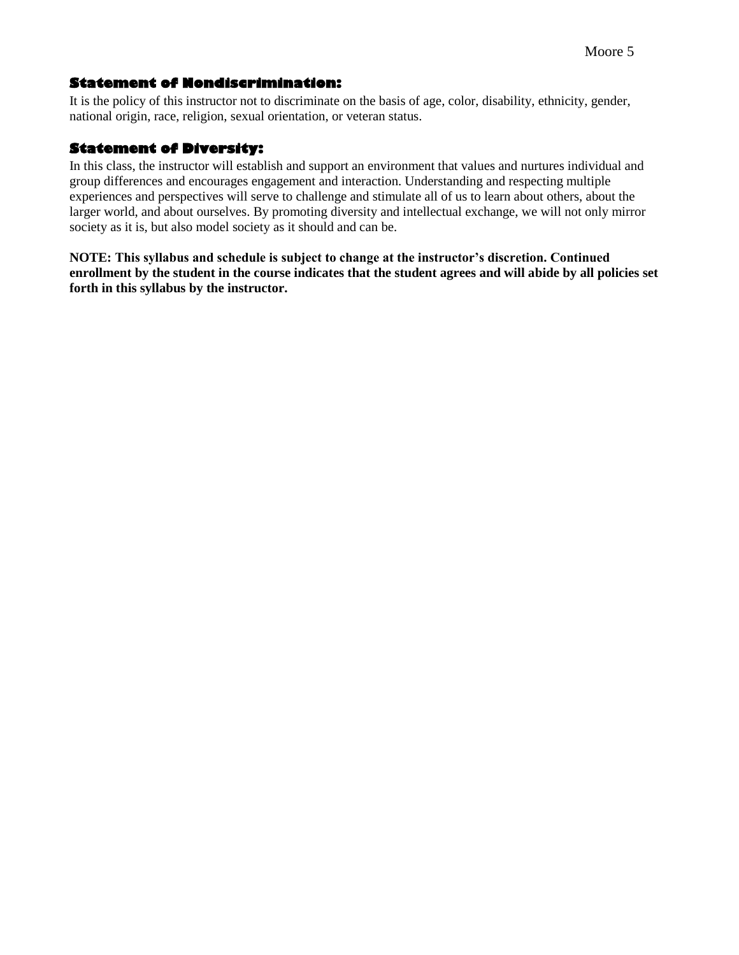#### **Statement of Nondiscrimination:**

It is the policy of this instructor not to discriminate on the basis of age, color, disability, ethnicity, gender, national origin, race, religion, sexual orientation, or veteran status.

#### **Statement of Diversity:**

In this class, the instructor will establish and support an environment that values and nurtures individual and group differences and encourages engagement and interaction. Understanding and respecting multiple experiences and perspectives will serve to challenge and stimulate all of us to learn about others, about the larger world, and about ourselves. By promoting diversity and intellectual exchange, we will not only mirror society as it is, but also model society as it should and can be.

**NOTE: This syllabus and schedule is subject to change at the instructor's discretion. Continued enrollment by the student in the course indicates that the student agrees and will abide by all policies set forth in this syllabus by the instructor.**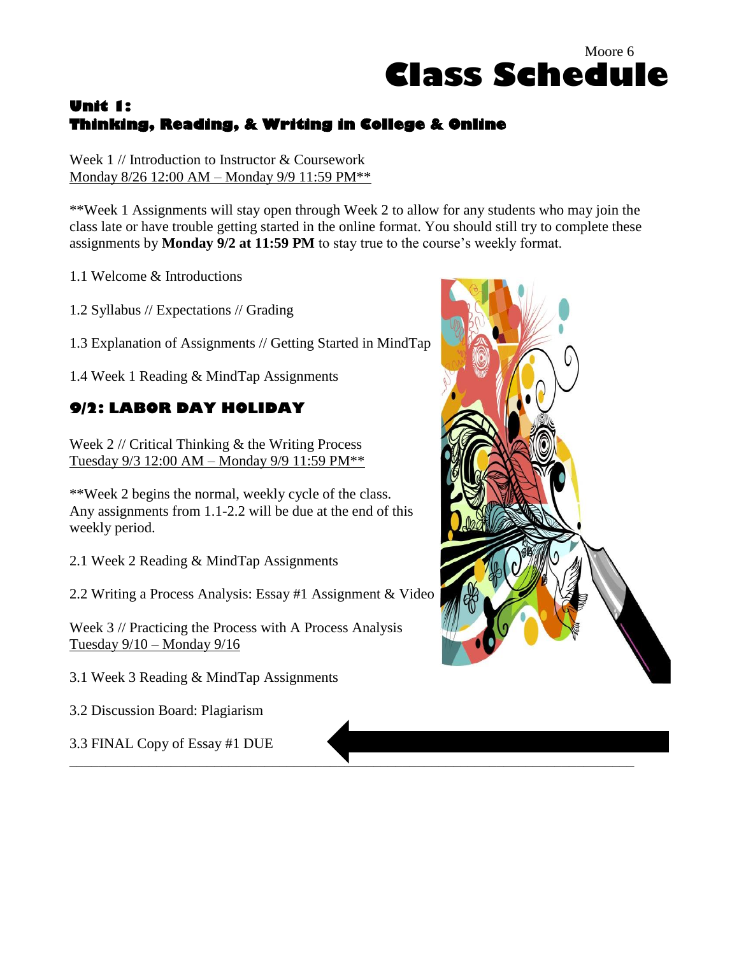## **Unit 1: Thinking, Reading, & Writing in College & Online**

Week 1 // Introduction to Instructor & Coursework Monday 8/26 12:00 AM – Monday 9/9 11:59 PM\*\*

\*\*Week 1 Assignments will stay open through Week 2 to allow for any students who may join the class late or have trouble getting started in the online format. You should still try to complete these assignments by **Monday 9/2 at 11:59 PM** to stay true to the course's weekly format.

\_\_\_\_\_\_\_\_\_\_\_\_\_\_\_\_\_\_\_\_\_\_\_\_\_\_\_\_\_\_\_\_\_\_\_\_\_\_\_\_\_\_\_\_\_\_\_\_\_\_\_\_\_\_\_\_\_\_\_\_\_\_\_\_\_\_\_\_\_\_\_\_\_\_\_\_\_\_

1.1 Welcome & Introductions

1.2 Syllabus // Expectations // Grading

1.3 Explanation of Assignments // Getting Started in MindTap

1.4 Week 1 Reading & MindTap Assignments

## **9/2: LABOR DAY HOLIDAY**

Week 2 // Critical Thinking & the Writing Process Tuesday 9/3 12:00 AM – Monday 9/9 11:59 PM\*\*

\*\*Week 2 begins the normal, weekly cycle of the class. Any assignments from 1.1-2.2 will be due at the end of this weekly period.

2.1 Week 2 Reading & MindTap Assignments

2.2 Writing a Process Analysis: Essay #1 Assignment & Video

Week 3 // Practicing the Process with A Process Analysis Tuesday 9/10 – Monday 9/16

3.1 Week 3 Reading & MindTap Assignments

3.2 Discussion Board: Plagiarism

3.3 FINAL Copy of Essay #1 DUE



Moore 6

**Class Schedule**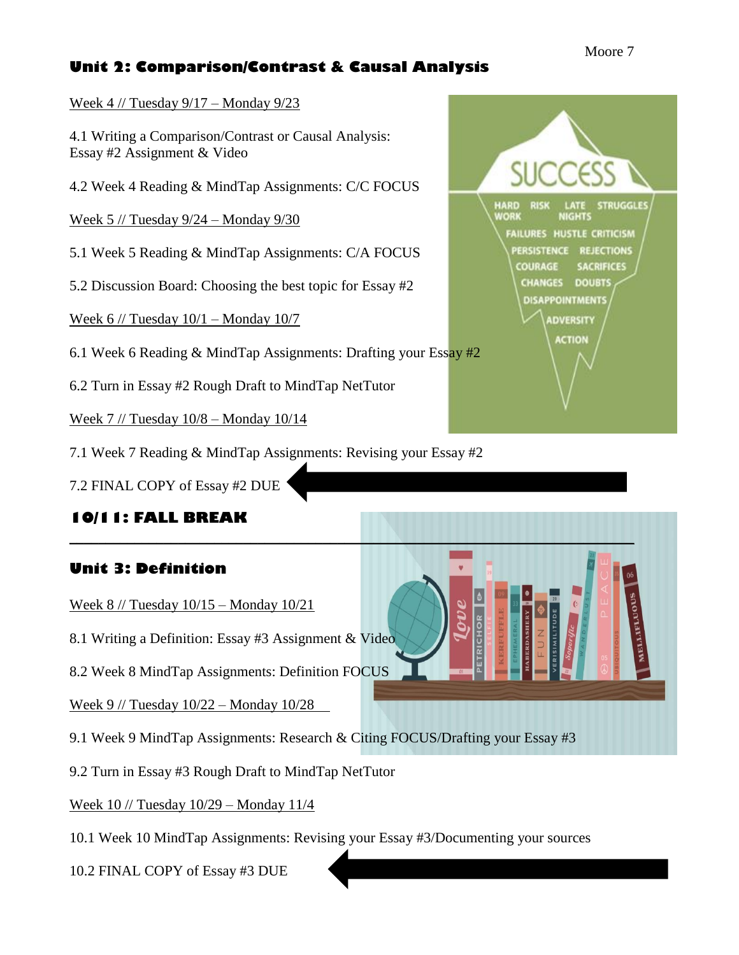## **Unit 2: Comparison/Contrast & Causal Analysis**

Week 4 // Tuesday 9/17 – Monday 9/23

4.1 Writing a Comparison/Contrast or Causal Analysis: Essay #2 Assignment & Video

4.2 Week 4 Reading & MindTap Assignments: C/C FOCUS

Week 5 // Tuesday 9/24 – Monday 9/30

5.1 Week 5 Reading & MindTap Assignments: C/A FOCUS

5.2 Discussion Board: Choosing the best topic for Essay #2

Week  $6$  // Tuesday  $10/1 -$  Monday  $10/7$ 

6.1 Week 6 Reading & MindTap Assignments: Drafting your Essay #2

6.2 Turn in Essay #2 Rough Draft to MindTap NetTutor

Week 7 // Tuesday 10/8 – Monday 10/14

7.1 Week 7 Reading & MindTap Assignments: Revising your Essay #2

7.2 FINAL COPY of Essay #2 DUE

**10/11: FALL BREAK**

## **Unit 3: Definition**

Week 8 // Tuesday 10/15 – Monday 10/21

8.1 Writing a Definition: Essay #3 Assignment & Video

8.2 Week 8 MindTap Assignments: Definition FOCUS

Week 9 // Tuesday 10/22 – Monday 10/28

9.1 Week 9 MindTap Assignments: Research & Citing FOCUS/Drafting your Essay #3

9.2 Turn in Essay #3 Rough Draft to MindTap NetTutor

Week 10 // Tuesday 10/29 – Monday 11/4

10.1 Week 10 MindTap Assignments: Revising your Essay #3/Documenting your sources

10.2 FINAL COPY of Essay #3 DUE